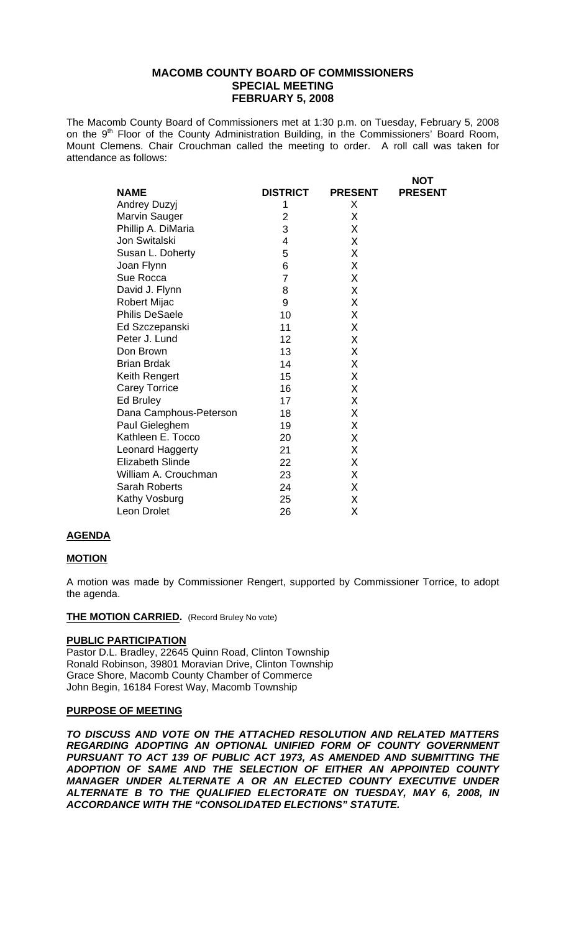# **MACOMB COUNTY BOARD OF COMMISSIONERS SPECIAL MEETING FEBRUARY 5, 2008**

The Macomb County Board of Commissioners met at 1:30 p.m. on Tuesday, February 5, 2008 on the 9<sup>th</sup> Floor of the County Administration Building, in the Commissioners' Board Room, Mount Clemens. Chair Crouchman called the meeting to order. A roll call was taken for attendance as follows:

|                         |                 |                | <b>NOT</b>     |
|-------------------------|-----------------|----------------|----------------|
| <b>NAME</b>             | <b>DISTRICT</b> | <b>PRESENT</b> | <b>PRESENT</b> |
| <b>Andrey Duzyj</b>     | 1               | X              |                |
| Marvin Sauger           | $\overline{2}$  | Χ              |                |
| Phillip A. DiMaria      | 3               | X              |                |
| Jon Switalski           | 4               | X              |                |
| Susan L. Doherty        | 5               | X              |                |
| Joan Flynn              | 6               | X              |                |
| Sue Rocca               | 7               | X              |                |
| David J. Flynn          | 8               | X              |                |
| <b>Robert Mijac</b>     | 9               | X              |                |
| <b>Philis DeSaele</b>   | 10              | X              |                |
| Ed Szczepanski          | 11              | Χ              |                |
| Peter J. Lund           | 12              | X              |                |
| Don Brown               | 13              | X              |                |
| <b>Brian Brdak</b>      | 14              | Χ              |                |
| Keith Rengert           | 15              | X              |                |
| <b>Carey Torrice</b>    | 16              | X              |                |
| <b>Ed Bruley</b>        | 17              | Χ              |                |
| Dana Camphous-Peterson  | 18              | X              |                |
| Paul Gieleghem          | 19              | Χ              |                |
| Kathleen E. Tocco       | 20              | Χ              |                |
| <b>Leonard Haggerty</b> | 21              | X              |                |
| <b>Elizabeth Slinde</b> | 22              | Χ              |                |
| William A. Crouchman    | 23              | Χ              |                |
| <b>Sarah Roberts</b>    | 24              | X              |                |
| Kathy Vosburg           | 25              | Χ              |                |
| Leon Drolet             | 26              | Χ              |                |

## **AGENDA**

### **MOTION**

A motion was made by Commissioner Rengert, supported by Commissioner Torrice, to adopt the agenda.

#### **THE MOTION CARRIED.** (Record Bruley No vote)

## **PUBLIC PARTICIPATION**

Pastor D.L. Bradley, 22645 Quinn Road, Clinton Township Ronald Robinson, 39801 Moravian Drive, Clinton Township Grace Shore, Macomb County Chamber of Commerce John Begin, 16184 Forest Way, Macomb Township

### **PURPOSE OF MEETING**

*TO DISCUSS AND VOTE ON THE ATTACHED RESOLUTION AND RELATED MATTERS REGARDING ADOPTING AN OPTIONAL UNIFIED FORM OF COUNTY GOVERNMENT PURSUANT TO ACT 139 OF PUBLIC ACT 1973, AS AMENDED AND SUBMITTING THE ADOPTION OF SAME AND THE SELECTION OF EITHER AN APPOINTED COUNTY MANAGER UNDER ALTERNATE A OR AN ELECTED COUNTY EXECUTIVE UNDER ALTERNATE B TO THE QUALIFIED ELECTORATE ON TUESDAY, MAY 6, 2008, IN ACCORDANCE WITH THE "CONSOLIDATED ELECTIONS" STATUTE.*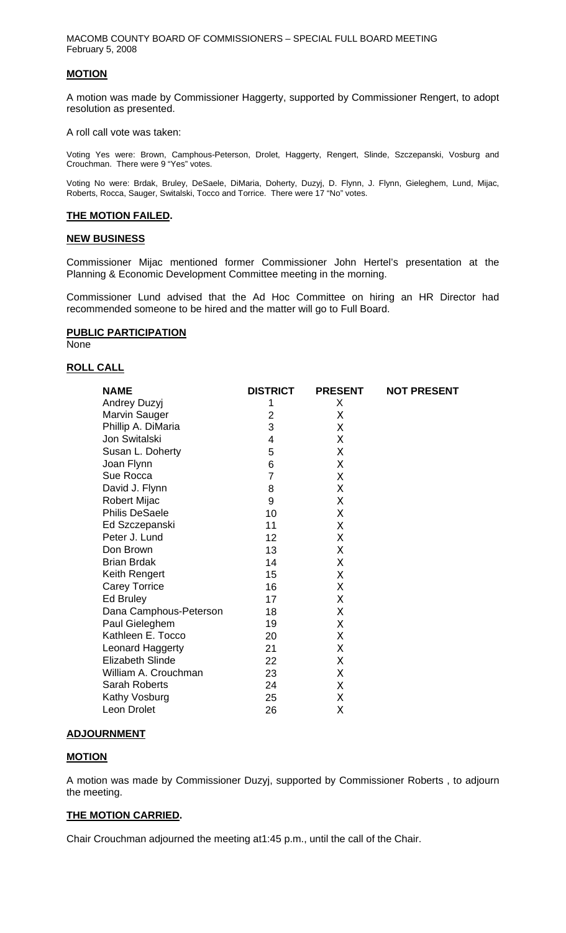MACOMB COUNTY BOARD OF COMMISSIONERS – SPECIAL FULL BOARD MEETING February 5, 2008

### **MOTION**

A motion was made by Commissioner Haggerty, supported by Commissioner Rengert, to adopt resolution as presented.

A roll call vote was taken:

Voting Yes were: Brown, Camphous-Peterson, Drolet, Haggerty, Rengert, Slinde, Szczepanski, Vosburg and Crouchman. There were 9 "Yes" votes.

Voting No were: Brdak, Bruley, DeSaele, DiMaria, Doherty, Duzyj, D. Flynn, J. Flynn, Gieleghem, Lund, Mijac, Roberts, Rocca, Sauger, Switalski, Tocco and Torrice. There were 17 "No" votes.

### **THE MOTION FAILED.**

### **NEW BUSINESS**

Commissioner Mijac mentioned former Commissioner John Hertel's presentation at the Planning & Economic Development Committee meeting in the morning.

Commissioner Lund advised that the Ad Hoc Committee on hiring an HR Director had recommended someone to be hired and the matter will go to Full Board.

## **PUBLIC PARTICIPATION**

None

## **ROLL CALL**

| <b>NAME</b>             | <b>DISTRICT</b> | <b>PRESENT</b> | <b>NOT PRESENT</b> |
|-------------------------|-----------------|----------------|--------------------|
| Andrey Duzyj            | 1               | X              |                    |
| Marvin Sauger           | 2               | X              |                    |
| Phillip A. DiMaria      | 3               | X              |                    |
| Jon Switalski           | 4               | X              |                    |
| Susan L. Doherty        | 5               | X              |                    |
| Joan Flynn              | 6               | X              |                    |
| Sue Rocca               | $\overline{7}$  | X              |                    |
| David J. Flynn          | 8               | X              |                    |
| <b>Robert Mijac</b>     | 9               | X              |                    |
| <b>Philis DeSaele</b>   | 10              | X              |                    |
| Ed Szczepanski          | 11              | X              |                    |
| Peter J. Lund           | 12              | X              |                    |
| Don Brown               | 13              | X              |                    |
| <b>Brian Brdak</b>      | 14              | X              |                    |
| Keith Rengert           | 15              | X              |                    |
| <b>Carey Torrice</b>    | 16              | X              |                    |
| Ed Bruley               | 17              | X              |                    |
| Dana Camphous-Peterson  | 18              | X              |                    |
| Paul Gieleghem          | 19              | X              |                    |
| Kathleen E. Tocco       | 20              | X              |                    |
| Leonard Haggerty        | 21              | X              |                    |
| <b>Elizabeth Slinde</b> | 22              | X              |                    |
| William A. Crouchman    | 23              | X              |                    |
| Sarah Roberts           | 24              | X              |                    |
| Kathy Vosburg           | 25              | χ              |                    |
| Leon Drolet             | 26              | Χ              |                    |
|                         |                 |                |                    |

### **ADJOURNMENT**

## **MOTION**

A motion was made by Commissioner Duzyj, supported by Commissioner Roberts , to adjourn the meeting.

### **THE MOTION CARRIED.**

Chair Crouchman adjourned the meeting at1:45 p.m., until the call of the Chair.